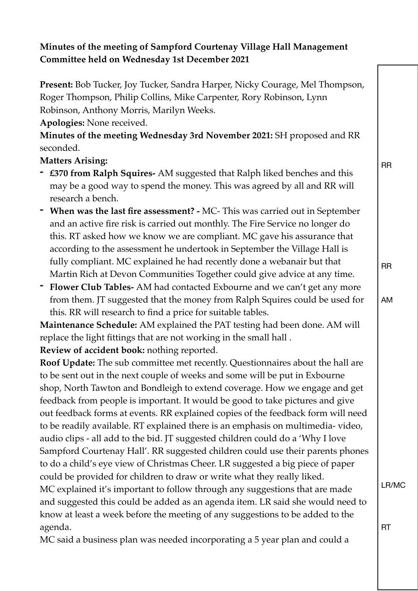## **Minutes of the meeting of Sampford Courtenay Village Hall Management Committee held on Wednesday 1st December 2021**

**Present:** Bob Tucker, Joy Tucker, Sandra Harper, Nicky Courage, Mel Thompson, Roger Thompson, Philip Collins, Mike Carpenter, Rory Robinson, Lynn Robinson, Anthony Morris, Marilyn Weeks.

**Apologies:** None received.

**Minutes of the meeting Wednesday 3rd November 2021:** SH proposed and RR seconded.

## **Matters Arising:**

- **- £370 from Ralph Squires-** AM suggested that Ralph liked benches and this may be a good way to spend the money. This was agreed by all and RR will research a bench.
- **- When was the last fire assessment?** MC- This was carried out in September and an active fire risk is carried out monthly. The Fire Service no longer do this. RT asked how we know we are compliant. MC gave his assurance that according to the assessment he undertook in September the Village Hall is fully compliant. MC explained he had recently done a webanair but that Martin Rich at Devon Communities Together could give advice at any time.
- **- Flower Club Tables-** AM had contacted Exbourne and we can't get any more from them. JT suggested that the money from Ralph Squires could be used for this. RR will research to find a price for suitable tables.

**Maintenance Schedule:** AM explained the PAT testing had been done. AM will replace the light fittings that are not working in the small hall .

**Review of accident book:** nothing reported.

**Roof Update:** The sub committee met recently. Questionnaires about the hall are to be sent out in the next couple of weeks and some will be put in Exbourne shop, North Tawton and Bondleigh to extend coverage. How we engage and get feedback from people is important. It would be good to take pictures and give out feedback forms at events. RR explained copies of the feedback form will need to be readily available. RT explained there is an emphasis on multimedia- video, audio clips - all add to the bid. JT suggested children could do a 'Why I love Sampford Courtenay Hall'. RR suggested children could use their parents phones to do a child's eye view of Christmas Cheer. LR suggested a big piece of paper could be provided for children to draw or write what they really liked. MC explained it's important to follow through any suggestions that are made and suggested this could be added as an agenda item. LR said she would need to know at least a week before the meeting of any suggestions to be added to the agenda.

MC said a business plan was needed incorporating a 5 year plan and could a

RR

AM

RR

LR/MC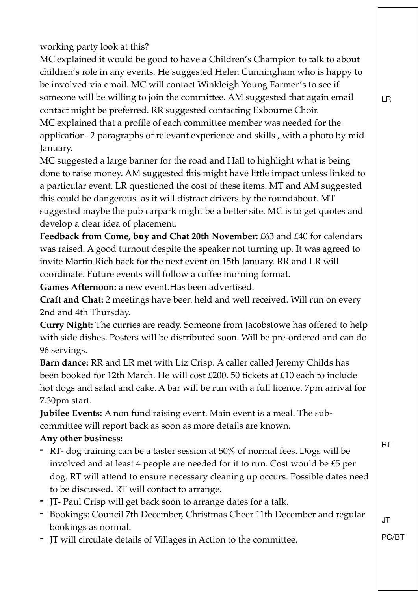working party look at this?

MC explained it would be good to have a Children's Champion to talk to about children's role in any events. He suggested Helen Cunningham who is happy to be involved via email. MC will contact Winkleigh Young Farmer's to see if someone will be willing to join the committee. AM suggested that again email contact might be preferred. RR suggested contacting Exbourne Choir. MC explained that a profile of each committee member was needed for the application- 2 paragraphs of relevant experience and skills , with a photo by mid January.

MC suggested a large banner for the road and Hall to highlight what is being done to raise money. AM suggested this might have little impact unless linked to a particular event. LR questioned the cost of these items. MT and AM suggested this could be dangerous as it will distract drivers by the roundabout. MT suggested maybe the pub carpark might be a better site. MC is to get quotes and develop a clear idea of placement.

Feedback from Come, buy and Chat 20th November: £63 and £40 for calendars was raised. A good turnout despite the speaker not turning up. It was agreed to invite Martin Rich back for the next event on 15th January. RR and LR will coordinate. Future events will follow a coffee morning format.

**Games Afternoon:** a new event.Has been advertised.

**Craft and Chat:** 2 meetings have been held and well received. Will run on every 2nd and 4th Thursday.

**Curry Night:** The curries are ready. Someone from Jacobstowe has offered to help with side dishes. Posters will be distributed soon. Will be pre-ordered and can do 96 servings.

**Barn dance:** RR and LR met with Liz Crisp. A caller called Jeremy Childs has been booked for 12th March. He will cost £200. 50 tickets at £10 each to include hot dogs and salad and cake. A bar will be run with a full licence. 7pm arrival for 7.30pm start.

**Jubilee Events:** A non fund raising event. Main event is a meal. The subcommittee will report back as soon as more details are known.

## **Any other business:**

- **-** RT- dog training can be a taster session at 50% of normal fees. Dogs will be involved and at least 4 people are needed for it to run. Cost would be £5 per dog. RT will attend to ensure necessary cleaning up occurs. Possible dates need to be discussed. RT will contact to arrange.
- **-** JT- Paul Crisp will get back soon to arrange dates for a talk.
- **-** Bookings: Council 7th December, Christmas Cheer 11th December and regular bookings as normal.
- **-** JT will circulate details of Villages in Action to the committee.

RT

JT

PC/BT

LR